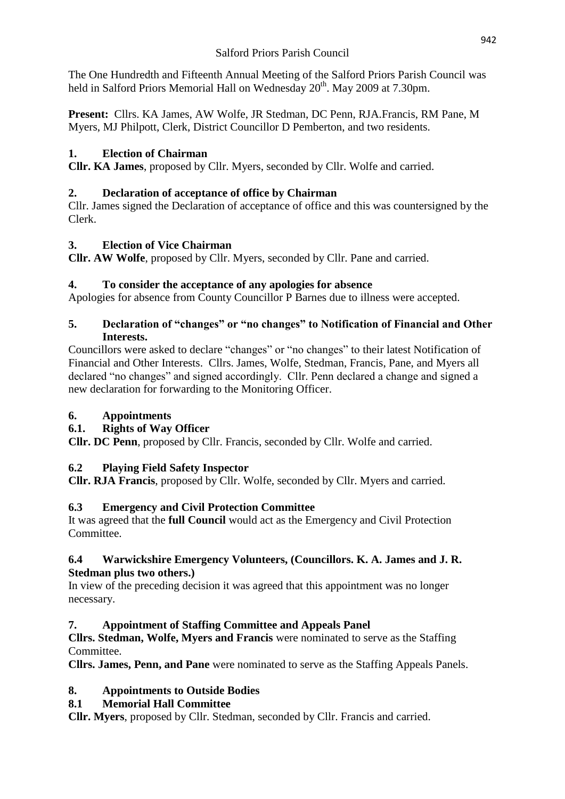The One Hundredth and Fifteenth Annual Meeting of the Salford Priors Parish Council was held in Salford Priors Memorial Hall on Wednesday  $20^{th}$ . May 2009 at 7.30pm.

**Present:** Cllrs. KA James, AW Wolfe, JR Stedman, DC Penn, RJA.Francis, RM Pane, M Myers, MJ Philpott, Clerk, District Councillor D Pemberton, and two residents.

## **1. Election of Chairman**

**Cllr. KA James**, proposed by Cllr. Myers, seconded by Cllr. Wolfe and carried.

## **2. Declaration of acceptance of office by Chairman**

Cllr. James signed the Declaration of acceptance of office and this was countersigned by the Clerk.

### **3. Election of Vice Chairman**

**Cllr. AW Wolfe**, proposed by Cllr. Myers, seconded by Cllr. Pane and carried.

### **4. To consider the acceptance of any apologies for absence**

Apologies for absence from County Councillor P Barnes due to illness were accepted.

#### **5. Declaration of "changes" or "no changes" to Notification of Financial and Other Interests.**

Councillors were asked to declare "changes" or "no changes" to their latest Notification of Financial and Other Interests. Cllrs. James, Wolfe, Stedman, Francis, Pane, and Myers all declared "no changes" and signed accordingly. Cllr. Penn declared a change and signed a new declaration for forwarding to the Monitoring Officer.

## **6. Appointments**

## **6.1. Rights of Way Officer**

**Cllr. DC Penn**, proposed by Cllr. Francis, seconded by Cllr. Wolfe and carried.

# **6.2 Playing Field Safety Inspector**

**Cllr. RJA Francis**, proposed by Cllr. Wolfe, seconded by Cllr. Myers and carried.

## **6.3 Emergency and Civil Protection Committee**

It was agreed that the **full Council** would act as the Emergency and Civil Protection Committee.

#### **6.4 Warwickshire Emergency Volunteers, (Councillors. K. A. James and J. R. Stedman plus two others.)**

In view of the preceding decision it was agreed that this appointment was no longer necessary.

# **7. Appointment of Staffing Committee and Appeals Panel**

#### **Cllrs. Stedman, Wolfe, Myers and Francis** were nominated to serve as the Staffing Committee.

**Cllrs. James, Penn, and Pane** were nominated to serve as the Staffing Appeals Panels.

## **8. Appointments to Outside Bodies**

# **8.1 Memorial Hall Committee**

**Cllr. Myers**, proposed by Cllr. Stedman, seconded by Cllr. Francis and carried.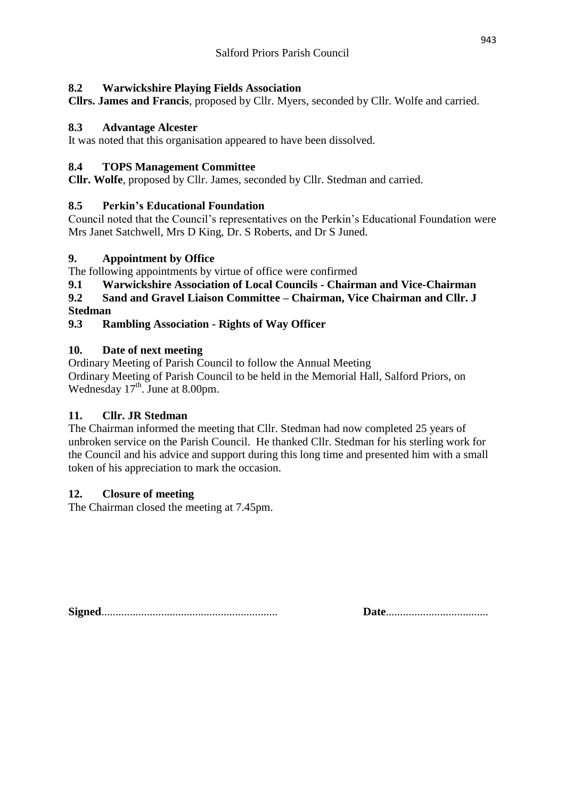### **8.2 Warwickshire Playing Fields Association**

**Cllrs. James and Francis**, proposed by Cllr. Myers, seconded by Cllr. Wolfe and carried.

#### **8.3 Advantage Alcester**

It was noted that this organisation appeared to have been dissolved.

### **8.4 TOPS Management Committee**

**Cllr. Wolfe**, proposed by Cllr. James, seconded by Cllr. Stedman and carried.

## **8.5 Perkin's Educational Foundation**

Council noted that the Council's representatives on the Perkin's Educational Foundation were Mrs Janet Satchwell, Mrs D King, Dr. S Roberts, and Dr S Juned.

### **9. Appointment by Office**

The following appointments by virtue of office were confirmed

## **9.1 Warwickshire Association of Local Councils - Chairman and Vice-Chairman**

**9.2 Sand and Gravel Liaison Committee – Chairman, Vice Chairman and Cllr. J Stedman**

### **9.3 Rambling Association - Rights of Way Officer**

### **10. Date of next meeting**

Ordinary Meeting of Parish Council to follow the Annual Meeting

Ordinary Meeting of Parish Council to be held in the Memorial Hall, Salford Priors, on Wednesday  $17<sup>th</sup>$ . June at 8.00pm.

## **11. Cllr. JR Stedman**

The Chairman informed the meeting that Cllr. Stedman had now completed 25 years of unbroken service on the Parish Council. He thanked Cllr. Stedman for his sterling work for the Council and his advice and support during this long time and presented him with a small token of his appreciation to mark the occasion.

#### **12. Closure of meeting**

The Chairman closed the meeting at 7.45pm.

**Signed**.............................................................. **Date**....................................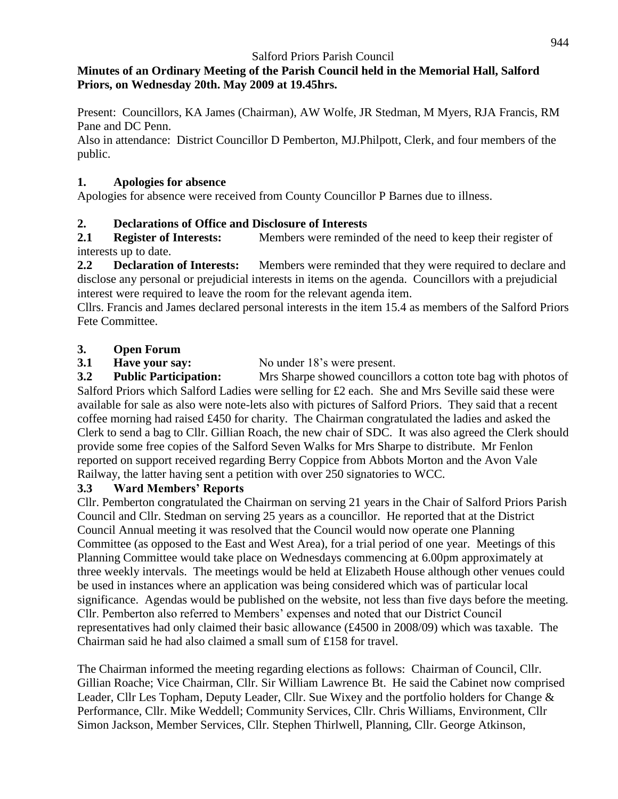#### **Minutes of an Ordinary Meeting of the Parish Council held in the Memorial Hall, Salford Priors, on Wednesday 20th. May 2009 at 19.45hrs.**

Present: Councillors, KA James (Chairman), AW Wolfe, JR Stedman, M Myers, RJA Francis, RM Pane and DC Penn.

Also in attendance: District Councillor D Pemberton, MJ.Philpott, Clerk, and four members of the public.

#### **1. Apologies for absence**

Apologies for absence were received from County Councillor P Barnes due to illness.

## **2. Declarations of Office and Disclosure of Interests**

**2.1 Register of Interests:** Members were reminded of the need to keep their register of interests up to date.

**2.2 Declaration of Interests:** Members were reminded that they were required to declare and disclose any personal or prejudicial interests in items on the agenda. Councillors with a prejudicial interest were required to leave the room for the relevant agenda item.

Cllrs. Francis and James declared personal interests in the item 15.4 as members of the Salford Priors Fete Committee.

## **3. Open Forum**

**3.1 Have your say:** No under 18's were present.

**3.2 Public Participation:** Mrs Sharpe showed councillors a cotton tote bag with photos of Salford Priors which Salford Ladies were selling for £2 each. She and Mrs Seville said these were available for sale as also were note-lets also with pictures of Salford Priors. They said that a recent coffee morning had raised £450 for charity. The Chairman congratulated the ladies and asked the Clerk to send a bag to Cllr. Gillian Roach, the new chair of SDC. It was also agreed the Clerk should provide some free copies of the Salford Seven Walks for Mrs Sharpe to distribute. Mr Fenlon reported on support received regarding Berry Coppice from Abbots Morton and the Avon Vale Railway, the latter having sent a petition with over 250 signatories to WCC.

## **3.3 Ward Members' Reports**

Cllr. Pemberton congratulated the Chairman on serving 21 years in the Chair of Salford Priors Parish Council and Cllr. Stedman on serving 25 years as a councillor. He reported that at the District Council Annual meeting it was resolved that the Council would now operate one Planning Committee (as opposed to the East and West Area), for a trial period of one year. Meetings of this Planning Committee would take place on Wednesdays commencing at 6.00pm approximately at three weekly intervals. The meetings would be held at Elizabeth House although other venues could be used in instances where an application was being considered which was of particular local significance. Agendas would be published on the website, not less than five days before the meeting. Cllr. Pemberton also referred to Members' expenses and noted that our District Council representatives had only claimed their basic allowance (£4500 in 2008/09) which was taxable. The Chairman said he had also claimed a small sum of £158 for travel.

The Chairman informed the meeting regarding elections as follows: Chairman of Council, Cllr. Gillian Roache; Vice Chairman, Cllr. Sir William Lawrence Bt. He said the Cabinet now comprised Leader, Cllr Les Topham, Deputy Leader, Cllr. Sue Wixey and the portfolio holders for Change & Performance, Cllr. Mike Weddell; Community Services, Cllr. Chris Williams, Environment, Cllr Simon Jackson, Member Services, Cllr. Stephen Thirlwell, Planning, Cllr. George Atkinson,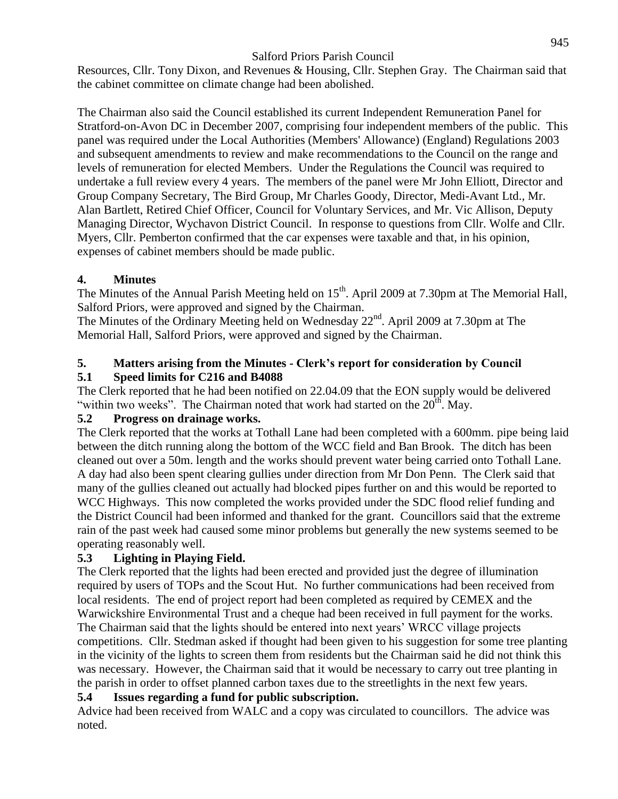Resources, Cllr. Tony Dixon, and Revenues & Housing, Cllr. Stephen Gray. The Chairman said that the cabinet committee on climate change had been abolished.

The Chairman also said the Council established its current Independent Remuneration Panel for Stratford-on-Avon DC in December 2007, comprising four independent members of the public. This panel was required under the Local Authorities (Members' Allowance) (England) Regulations 2003 and subsequent amendments to review and make recommendations to the Council on the range and levels of remuneration for elected Members. Under the Regulations the Council was required to undertake a full review every 4 years. The members of the panel were Mr John Elliott, Director and Group Company Secretary, The Bird Group, Mr Charles Goody, Director, Medi-Avant Ltd., Mr. Alan Bartlett, Retired Chief Officer, Council for Voluntary Services, and Mr. Vic Allison, Deputy Managing Director, Wychavon District Council. In response to questions from Cllr. Wolfe and Cllr. Myers, Cllr. Pemberton confirmed that the car expenses were taxable and that, in his opinion, expenses of cabinet members should be made public.

## **4. Minutes**

The Minutes of the Annual Parish Meeting held on 15<sup>th</sup>. April 2009 at 7.30pm at The Memorial Hall, Salford Priors, were approved and signed by the Chairman.

The Minutes of the Ordinary Meeting held on Wednesday  $22<sup>nd</sup>$ . April 2009 at 7.30pm at The Memorial Hall, Salford Priors, were approved and signed by the Chairman.

# **5. Matters arising from the Minutes - Clerk's report for consideration by Council**

### **5.1 Speed limits for C216 and B4088**

The Clerk reported that he had been notified on 22.04.09 that the EON supply would be delivered "within two weeks". The Chairman noted that work had started on the  $20<sup>th</sup>$ . May.

## **5.2 Progress on drainage works.**

The Clerk reported that the works at Tothall Lane had been completed with a 600mm. pipe being laid between the ditch running along the bottom of the WCC field and Ban Brook. The ditch has been cleaned out over a 50m. length and the works should prevent water being carried onto Tothall Lane. A day had also been spent clearing gullies under direction from Mr Don Penn. The Clerk said that many of the gullies cleaned out actually had blocked pipes further on and this would be reported to WCC Highways. This now completed the works provided under the SDC flood relief funding and the District Council had been informed and thanked for the grant. Councillors said that the extreme rain of the past week had caused some minor problems but generally the new systems seemed to be operating reasonably well.

## **5.3 Lighting in Playing Field.**

The Clerk reported that the lights had been erected and provided just the degree of illumination required by users of TOPs and the Scout Hut. No further communications had been received from local residents. The end of project report had been completed as required by CEMEX and the Warwickshire Environmental Trust and a cheque had been received in full payment for the works. The Chairman said that the lights should be entered into next years' WRCC village projects competitions. Cllr. Stedman asked if thought had been given to his suggestion for some tree planting in the vicinity of the lights to screen them from residents but the Chairman said he did not think this was necessary. However, the Chairman said that it would be necessary to carry out tree planting in the parish in order to offset planned carbon taxes due to the streetlights in the next few years.

#### **5.4 Issues regarding a fund for public subscription.**

Advice had been received from WALC and a copy was circulated to councillors. The advice was noted.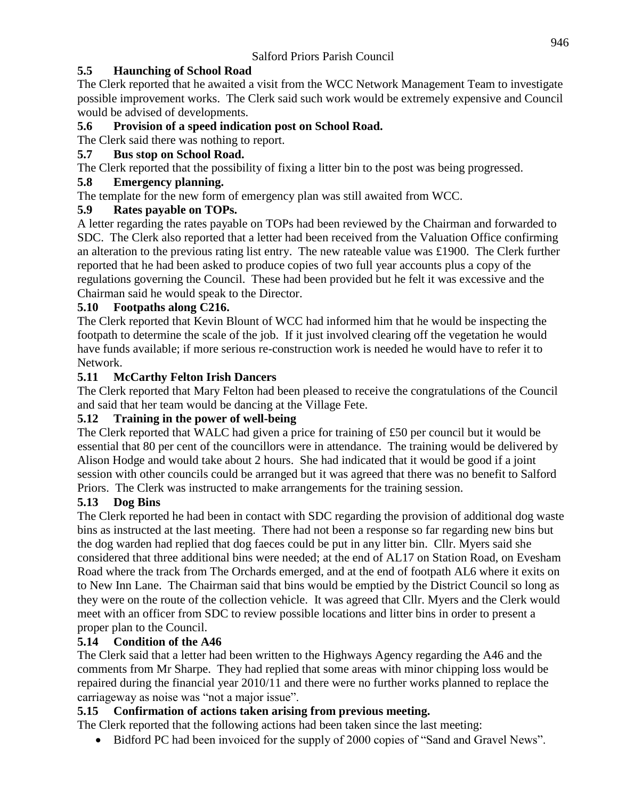## **5.5 Haunching of School Road**

The Clerk reported that he awaited a visit from the WCC Network Management Team to investigate possible improvement works. The Clerk said such work would be extremely expensive and Council would be advised of developments.

### **5.6 Provision of a speed indication post on School Road.**

The Clerk said there was nothing to report.

#### **5.7 Bus stop on School Road.**

The Clerk reported that the possibility of fixing a litter bin to the post was being progressed.

### **5.8 Emergency planning.**

The template for the new form of emergency plan was still awaited from WCC.

### **5.9 Rates payable on TOPs.**

A letter regarding the rates payable on TOPs had been reviewed by the Chairman and forwarded to SDC. The Clerk also reported that a letter had been received from the Valuation Office confirming an alteration to the previous rating list entry. The new rateable value was £1900. The Clerk further reported that he had been asked to produce copies of two full year accounts plus a copy of the regulations governing the Council. These had been provided but he felt it was excessive and the Chairman said he would speak to the Director.

#### **5.10 Footpaths along C216.**

The Clerk reported that Kevin Blount of WCC had informed him that he would be inspecting the footpath to determine the scale of the job. If it just involved clearing off the vegetation he would have funds available; if more serious re-construction work is needed he would have to refer it to Network.

### **5.11 McCarthy Felton Irish Dancers**

The Clerk reported that Mary Felton had been pleased to receive the congratulations of the Council and said that her team would be dancing at the Village Fete.

## **5.12 Training in the power of well-being**

The Clerk reported that WALC had given a price for training of £50 per council but it would be essential that 80 per cent of the councillors were in attendance. The training would be delivered by Alison Hodge and would take about 2 hours. She had indicated that it would be good if a joint session with other councils could be arranged but it was agreed that there was no benefit to Salford Priors. The Clerk was instructed to make arrangements for the training session.

#### **5.13 Dog Bins**

The Clerk reported he had been in contact with SDC regarding the provision of additional dog waste bins as instructed at the last meeting. There had not been a response so far regarding new bins but the dog warden had replied that dog faeces could be put in any litter bin. Cllr. Myers said she considered that three additional bins were needed; at the end of AL17 on Station Road, on Evesham Road where the track from The Orchards emerged, and at the end of footpath AL6 where it exits on to New Inn Lane. The Chairman said that bins would be emptied by the District Council so long as they were on the route of the collection vehicle. It was agreed that Cllr. Myers and the Clerk would meet with an officer from SDC to review possible locations and litter bins in order to present a proper plan to the Council.

#### **5.14 Condition of the A46**

The Clerk said that a letter had been written to the Highways Agency regarding the A46 and the comments from Mr Sharpe. They had replied that some areas with minor chipping loss would be repaired during the financial year 2010/11 and there were no further works planned to replace the carriageway as noise was "not a major issue".

## **5.15 Confirmation of actions taken arising from previous meeting.**

The Clerk reported that the following actions had been taken since the last meeting:

• Bidford PC had been invoiced for the supply of 2000 copies of "Sand and Gravel News".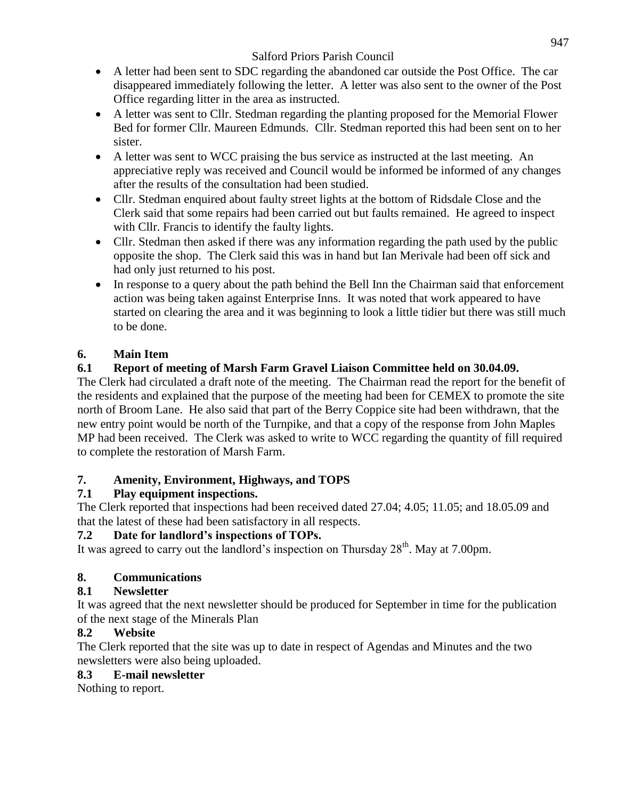- A letter had been sent to SDC regarding the abandoned car outside the Post Office. The car disappeared immediately following the letter. A letter was also sent to the owner of the Post Office regarding litter in the area as instructed.
- A letter was sent to Cllr. Stedman regarding the planting proposed for the Memorial Flower Bed for former Cllr. Maureen Edmunds. Cllr. Stedman reported this had been sent on to her sister.
- A letter was sent to WCC praising the bus service as instructed at the last meeting. An appreciative reply was received and Council would be informed be informed of any changes after the results of the consultation had been studied.
- Cllr. Stedman enquired about faulty street lights at the bottom of Ridsdale Close and the Clerk said that some repairs had been carried out but faults remained. He agreed to inspect with Cllr. Francis to identify the faulty lights.
- Cllr. Stedman then asked if there was any information regarding the path used by the public opposite the shop. The Clerk said this was in hand but Ian Merivale had been off sick and had only just returned to his post.
- In response to a query about the path behind the Bell Inn the Chairman said that enforcement action was being taken against Enterprise Inns. It was noted that work appeared to have started on clearing the area and it was beginning to look a little tidier but there was still much to be done.

#### **6. Main Item**

### **6.1 Report of meeting of Marsh Farm Gravel Liaison Committee held on 30.04.09.**

The Clerk had circulated a draft note of the meeting. The Chairman read the report for the benefit of the residents and explained that the purpose of the meeting had been for CEMEX to promote the site north of Broom Lane. He also said that part of the Berry Coppice site had been withdrawn, that the new entry point would be north of the Turnpike, and that a copy of the response from John Maples MP had been received. The Clerk was asked to write to WCC regarding the quantity of fill required to complete the restoration of Marsh Farm.

#### **7. Amenity, Environment, Highways, and TOPS**

#### **7.1 Play equipment inspections.**

The Clerk reported that inspections had been received dated 27.04; 4.05; 11.05; and 18.05.09 and that the latest of these had been satisfactory in all respects.

#### **7.2 Date for landlord's inspections of TOPs.**

It was agreed to carry out the landlord's inspection on Thursday  $28<sup>th</sup>$ . May at 7.00pm.

#### **8. Communications**

#### **8.1 Newsletter**

It was agreed that the next newsletter should be produced for September in time for the publication of the next stage of the Minerals Plan

#### **8.2 Website**

The Clerk reported that the site was up to date in respect of Agendas and Minutes and the two newsletters were also being uploaded.

#### **8.3 E-mail newsletter**

Nothing to report.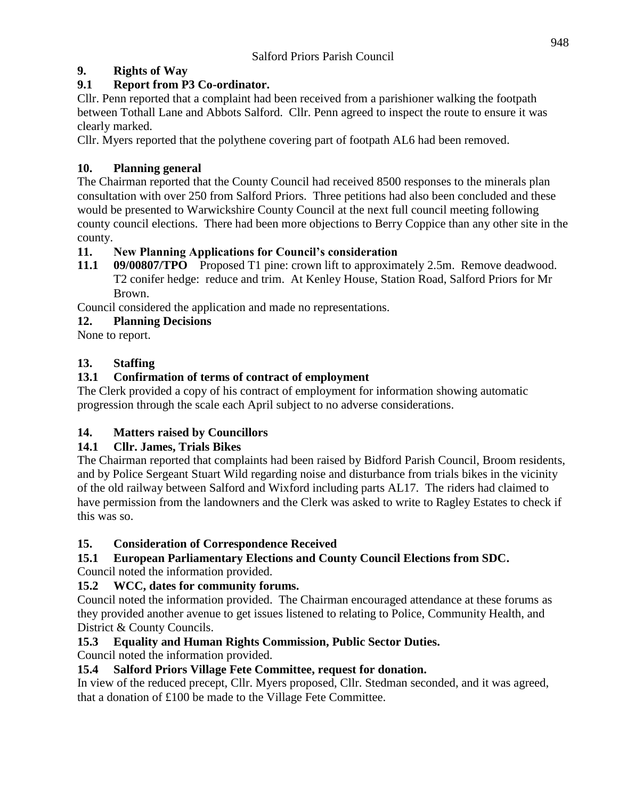### **9. Rights of Way**

### **9.1 Report from P3 Co-ordinator.**

Cllr. Penn reported that a complaint had been received from a parishioner walking the footpath between Tothall Lane and Abbots Salford. Cllr. Penn agreed to inspect the route to ensure it was clearly marked.

Cllr. Myers reported that the polythene covering part of footpath AL6 had been removed.

## **10. Planning general**

The Chairman reported that the County Council had received 8500 responses to the minerals plan consultation with over 250 from Salford Priors. Three petitions had also been concluded and these would be presented to Warwickshire County Council at the next full council meeting following county council elections. There had been more objections to Berry Coppice than any other site in the county.

## **11. New Planning Applications for Council's consideration**

**11.1 09/00807/TPO** Proposed T1 pine: crown lift to approximately 2.5m. Remove deadwood. T2 conifer hedge: reduce and trim. At Kenley House, Station Road, Salford Priors for Mr Brown.

Council considered the application and made no representations.

## **12. Planning Decisions**

None to report.

## **13. Staffing**

## **13.1 Confirmation of terms of contract of employment**

The Clerk provided a copy of his contract of employment for information showing automatic progression through the scale each April subject to no adverse considerations.

## **14. Matters raised by Councillors**

## **14.1 Cllr. James, Trials Bikes**

The Chairman reported that complaints had been raised by Bidford Parish Council, Broom residents, and by Police Sergeant Stuart Wild regarding noise and disturbance from trials bikes in the vicinity of the old railway between Salford and Wixford including parts AL17. The riders had claimed to have permission from the landowners and the Clerk was asked to write to Ragley Estates to check if this was so.

## **15. Consideration of Correspondence Received**

# **15.1 European Parliamentary Elections and County Council Elections from SDC.**

Council noted the information provided.

## **15.2 WCC, dates for community forums.**

Council noted the information provided. The Chairman encouraged attendance at these forums as they provided another avenue to get issues listened to relating to Police, Community Health, and District & County Councils.

## **15.3 Equality and Human Rights Commission, Public Sector Duties.**

Council noted the information provided.

## **15.4 Salford Priors Village Fete Committee, request for donation.**

In view of the reduced precept, Cllr. Myers proposed, Cllr. Stedman seconded, and it was agreed, that a donation of £100 be made to the Village Fete Committee.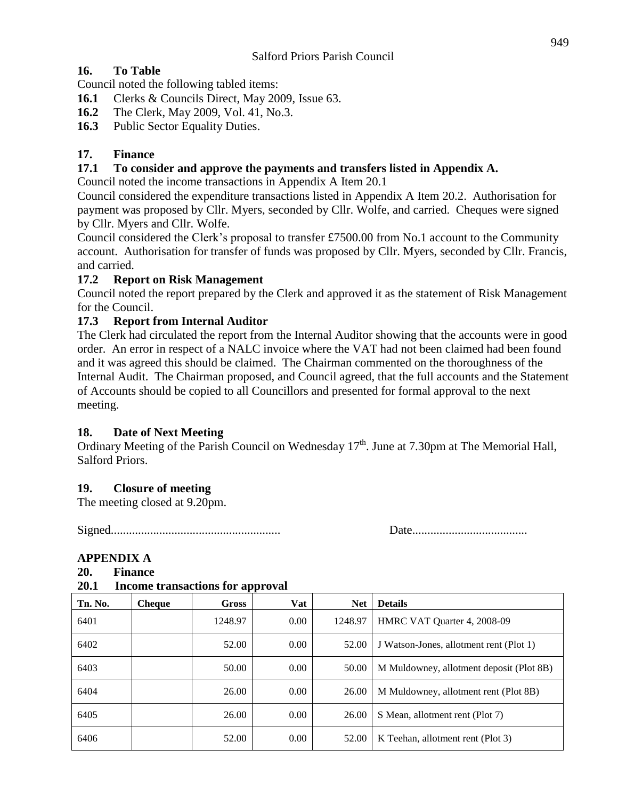#### **16. To Table**

Council noted the following tabled items:

- **16.1** Clerks & Councils Direct, May 2009, Issue 63.
- **16.2** The Clerk, May 2009, Vol. 41, No.3.
- **16.3** Public Sector Equality Duties.

#### **17. Finance**

#### **17.1 To consider and approve the payments and transfers listed in Appendix A.**

Council noted the income transactions in Appendix A Item 20.1

Council considered the expenditure transactions listed in Appendix A Item 20.2. Authorisation for payment was proposed by Cllr. Myers, seconded by Cllr. Wolfe, and carried. Cheques were signed by Cllr. Myers and Cllr. Wolfe.

Council considered the Clerk's proposal to transfer £7500.00 from No.1 account to the Community account. Authorisation for transfer of funds was proposed by Cllr. Myers, seconded by Cllr. Francis, and carried.

#### **17.2 Report on Risk Management**

Council noted the report prepared by the Clerk and approved it as the statement of Risk Management for the Council.

#### **17.3 Report from Internal Auditor**

The Clerk had circulated the report from the Internal Auditor showing that the accounts were in good order. An error in respect of a NALC invoice where the VAT had not been claimed had been found and it was agreed this should be claimed. The Chairman commented on the thoroughness of the Internal Audit. The Chairman proposed, and Council agreed, that the full accounts and the Statement of Accounts should be copied to all Councillors and presented for formal approval to the next meeting.

#### **18. Date of Next Meeting**

Ordinary Meeting of the Parish Council on Wednesday 17<sup>th</sup>. June at 7.30pm at The Memorial Hall, Salford Priors.

#### **19. Closure of meeting**

The meeting closed at 9.20pm.

Signed........................................................ Date......................................

## **APPENDIX A**

#### **20. Finance**

**20.1 Income transactions for approval**

| Tn. No. | <b>Cheque</b> | <b>Gross</b> | Vat  | <b>Net</b> | <b>Details</b>                           |
|---------|---------------|--------------|------|------------|------------------------------------------|
| 6401    |               | 1248.97      | 0.00 | 1248.97    | HMRC VAT Quarter 4, 2008-09              |
| 6402    |               | 52.00        | 0.00 | 52.00      | J Watson-Jones, allotment rent (Plot 1)  |
| 6403    |               | 50.00        | 0.00 | 50.00      | M Muldowney, allotment deposit (Plot 8B) |
| 6404    |               | 26.00        | 0.00 | 26.00      | M Muldowney, allotment rent (Plot 8B)    |
| 6405    |               | 26.00        | 0.00 | 26.00      | S Mean, allotment rent (Plot 7)          |
| 6406    |               | 52.00        | 0.00 | 52.00      | K Teehan, allotment rent (Plot 3)        |